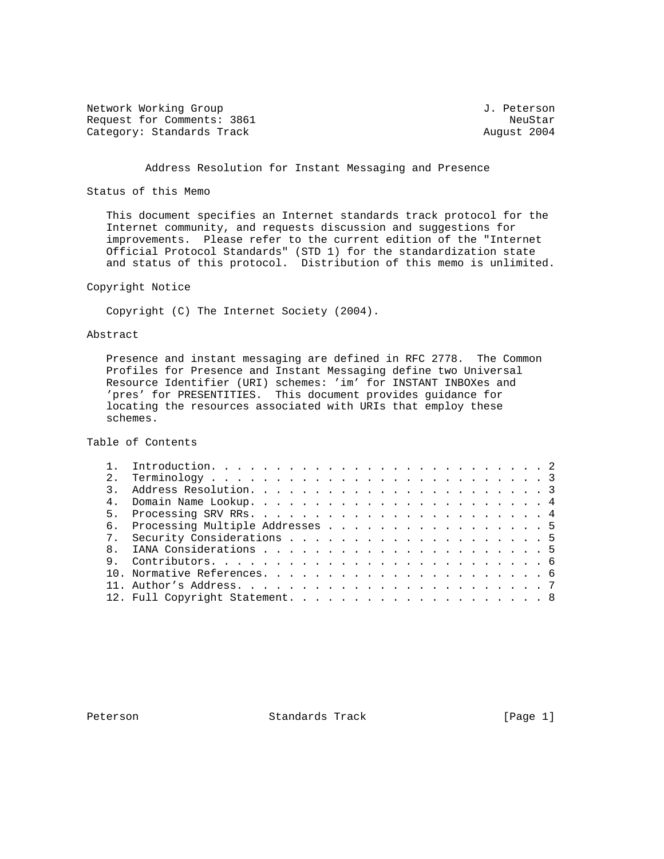Network Working Group 3. 2012 1. Peterson Request for Comments: 3861 NeuStar NeuStar NeuStar NeuStar NeuStar<br>Category: Standards Track News, 2004 Category: Standards Track

## Address Resolution for Instant Messaging and Presence

Status of this Memo

 This document specifies an Internet standards track protocol for the Internet community, and requests discussion and suggestions for improvements. Please refer to the current edition of the "Internet Official Protocol Standards" (STD 1) for the standardization state and status of this protocol. Distribution of this memo is unlimited.

Copyright Notice

Copyright (C) The Internet Society (2004).

Abstract

 Presence and instant messaging are defined in RFC 2778. The Common Profiles for Presence and Instant Messaging define two Universal Resource Identifier (URI) schemes: 'im' for INSTANT INBOXes and 'pres' for PRESENTITIES. This document provides guidance for locating the resources associated with URIs that employ these schemes.

Table of Contents

| 2 <sup>1</sup> |  |  |  |  |  |  |  |  |  |  |
|----------------|--|--|--|--|--|--|--|--|--|--|
|                |  |  |  |  |  |  |  |  |  |  |
|                |  |  |  |  |  |  |  |  |  |  |
|                |  |  |  |  |  |  |  |  |  |  |
|                |  |  |  |  |  |  |  |  |  |  |
|                |  |  |  |  |  |  |  |  |  |  |
|                |  |  |  |  |  |  |  |  |  |  |
|                |  |  |  |  |  |  |  |  |  |  |
|                |  |  |  |  |  |  |  |  |  |  |
|                |  |  |  |  |  |  |  |  |  |  |
|                |  |  |  |  |  |  |  |  |  |  |
|                |  |  |  |  |  |  |  |  |  |  |

Peterson Standards Track [Page 1]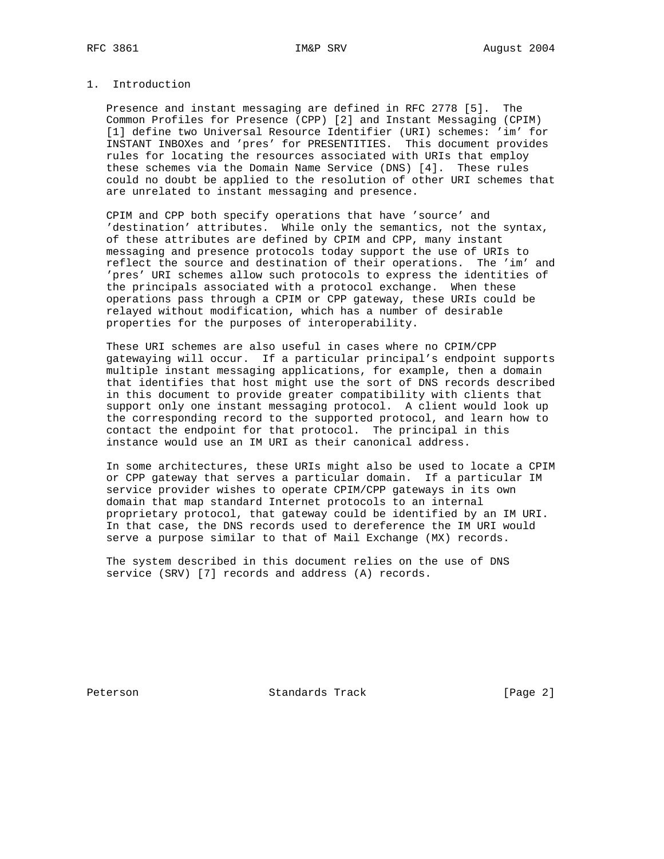# 1. Introduction

 Presence and instant messaging are defined in RFC 2778 [5]. The Common Profiles for Presence (CPP) [2] and Instant Messaging (CPIM) [1] define two Universal Resource Identifier (URI) schemes: 'im' for INSTANT INBOXes and 'pres' for PRESENTITIES. This document provides rules for locating the resources associated with URIs that employ these schemes via the Domain Name Service (DNS) [4]. These rules could no doubt be applied to the resolution of other URI schemes that are unrelated to instant messaging and presence.

 CPIM and CPP both specify operations that have 'source' and 'destination' attributes. While only the semantics, not the syntax, of these attributes are defined by CPIM and CPP, many instant messaging and presence protocols today support the use of URIs to reflect the source and destination of their operations. The 'im' and 'pres' URI schemes allow such protocols to express the identities of the principals associated with a protocol exchange. When these operations pass through a CPIM or CPP gateway, these URIs could be relayed without modification, which has a number of desirable properties for the purposes of interoperability.

 These URI schemes are also useful in cases where no CPIM/CPP gatewaying will occur. If a particular principal's endpoint supports multiple instant messaging applications, for example, then a domain that identifies that host might use the sort of DNS records described in this document to provide greater compatibility with clients that support only one instant messaging protocol. A client would look up the corresponding record to the supported protocol, and learn how to contact the endpoint for that protocol. The principal in this instance would use an IM URI as their canonical address.

 In some architectures, these URIs might also be used to locate a CPIM or CPP gateway that serves a particular domain. If a particular IM service provider wishes to operate CPIM/CPP gateways in its own domain that map standard Internet protocols to an internal proprietary protocol, that gateway could be identified by an IM URI. In that case, the DNS records used to dereference the IM URI would serve a purpose similar to that of Mail Exchange (MX) records.

 The system described in this document relies on the use of DNS service (SRV) [7] records and address (A) records.

Peterson Standards Track [Page 2]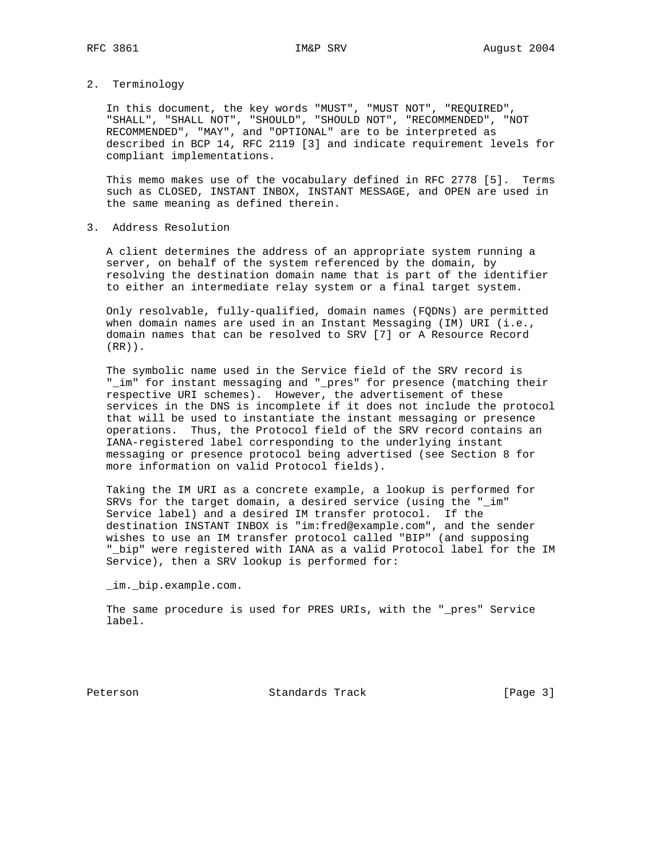2. Terminology

 In this document, the key words "MUST", "MUST NOT", "REQUIRED", "SHALL", "SHALL NOT", "SHOULD", "SHOULD NOT", "RECOMMENDED", "NOT RECOMMENDED", "MAY", and "OPTIONAL" are to be interpreted as described in BCP 14, RFC 2119 [3] and indicate requirement levels for compliant implementations.

 This memo makes use of the vocabulary defined in RFC 2778 [5]. Terms such as CLOSED, INSTANT INBOX, INSTANT MESSAGE, and OPEN are used in the same meaning as defined therein.

3. Address Resolution

 A client determines the address of an appropriate system running a server, on behalf of the system referenced by the domain, by resolving the destination domain name that is part of the identifier to either an intermediate relay system or a final target system.

 Only resolvable, fully-qualified, domain names (FQDNs) are permitted when domain names are used in an Instant Messaging (IM) URI (i.e., domain names that can be resolved to SRV [7] or A Resource Record (RR)).

 The symbolic name used in the Service field of the SRV record is "\_im" for instant messaging and "\_pres" for presence (matching their respective URI schemes). However, the advertisement of these services in the DNS is incomplete if it does not include the protocol that will be used to instantiate the instant messaging or presence operations. Thus, the Protocol field of the SRV record contains an IANA-registered label corresponding to the underlying instant messaging or presence protocol being advertised (see Section 8 for more information on valid Protocol fields).

 Taking the IM URI as a concrete example, a lookup is performed for SRVs for the target domain, a desired service (using the "\_im" Service label) and a desired IM transfer protocol. If the destination INSTANT INBOX is "im:fred@example.com", and the sender wishes to use an IM transfer protocol called "BIP" (and supposing "\_bip" were registered with IANA as a valid Protocol label for the IM Service), then a SRV lookup is performed for:

\_im.\_bip.example.com.

 The same procedure is used for PRES URIs, with the "\_pres" Service label.

Peterson Standards Track [Page 3]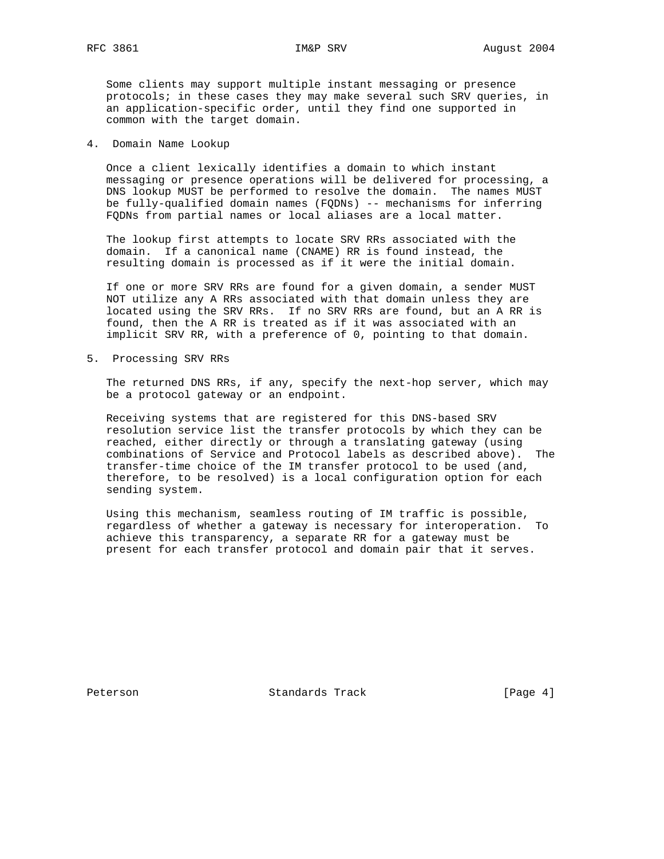Some clients may support multiple instant messaging or presence protocols; in these cases they may make several such SRV queries, in an application-specific order, until they find one supported in common with the target domain.

4. Domain Name Lookup

 Once a client lexically identifies a domain to which instant messaging or presence operations will be delivered for processing, a DNS lookup MUST be performed to resolve the domain. The names MUST be fully-qualified domain names (FQDNs) -- mechanisms for inferring FQDNs from partial names or local aliases are a local matter.

 The lookup first attempts to locate SRV RRs associated with the domain. If a canonical name (CNAME) RR is found instead, the resulting domain is processed as if it were the initial domain.

 If one or more SRV RRs are found for a given domain, a sender MUST NOT utilize any A RRs associated with that domain unless they are located using the SRV RRs. If no SRV RRs are found, but an A RR is found, then the A RR is treated as if it was associated with an implicit SRV RR, with a preference of 0, pointing to that domain.

5. Processing SRV RRs

 The returned DNS RRs, if any, specify the next-hop server, which may be a protocol gateway or an endpoint.

 Receiving systems that are registered for this DNS-based SRV resolution service list the transfer protocols by which they can be reached, either directly or through a translating gateway (using combinations of Service and Protocol labels as described above). The transfer-time choice of the IM transfer protocol to be used (and, therefore, to be resolved) is a local configuration option for each sending system.

 Using this mechanism, seamless routing of IM traffic is possible, regardless of whether a gateway is necessary for interoperation. To achieve this transparency, a separate RR for a gateway must be present for each transfer protocol and domain pair that it serves.

Peterson Standards Track [Page 4]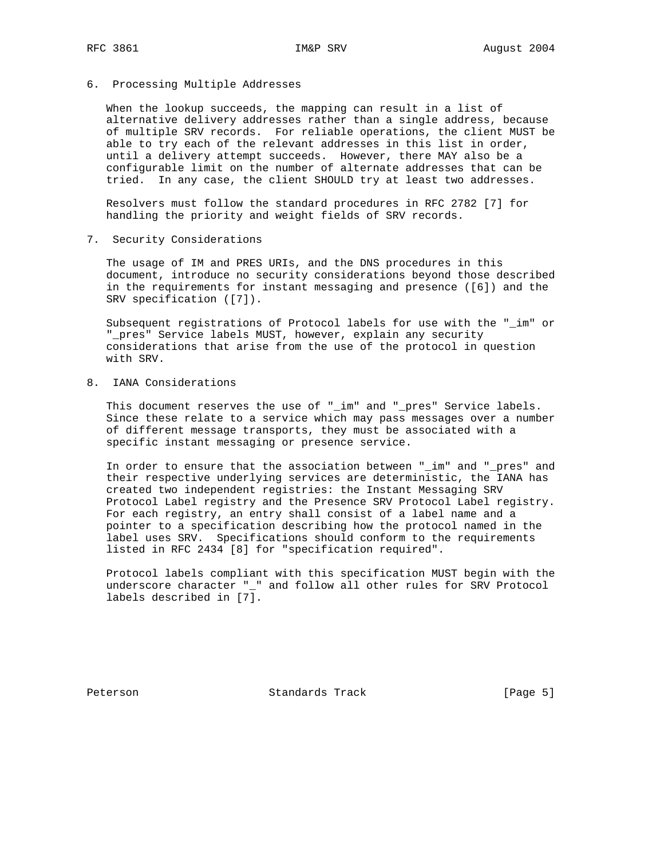6. Processing Multiple Addresses

 When the lookup succeeds, the mapping can result in a list of alternative delivery addresses rather than a single address, because of multiple SRV records. For reliable operations, the client MUST be able to try each of the relevant addresses in this list in order, until a delivery attempt succeeds. However, there MAY also be a configurable limit on the number of alternate addresses that can be tried. In any case, the client SHOULD try at least two addresses.

 Resolvers must follow the standard procedures in RFC 2782 [7] for handling the priority and weight fields of SRV records.

7. Security Considerations

 The usage of IM and PRES URIs, and the DNS procedures in this document, introduce no security considerations beyond those described in the requirements for instant messaging and presence ([6]) and the SRV specification ([7]).

 Subsequent registrations of Protocol labels for use with the "\_im" or "\_pres" Service labels MUST, however, explain any security considerations that arise from the use of the protocol in question with SRV.

8. IANA Considerations

 This document reserves the use of "\_im" and "\_pres" Service labels. Since these relate to a service which may pass messages over a number of different message transports, they must be associated with a specific instant messaging or presence service.

 In order to ensure that the association between "\_im" and "\_pres" and their respective underlying services are deterministic, the IANA has created two independent registries: the Instant Messaging SRV Protocol Label registry and the Presence SRV Protocol Label registry. For each registry, an entry shall consist of a label name and a pointer to a specification describing how the protocol named in the label uses SRV. Specifications should conform to the requirements listed in RFC 2434 [8] for "specification required".

 Protocol labels compliant with this specification MUST begin with the underscore character "\_" and follow all other rules for SRV Protocol labels described in [7].

Peterson Standards Track [Page 5]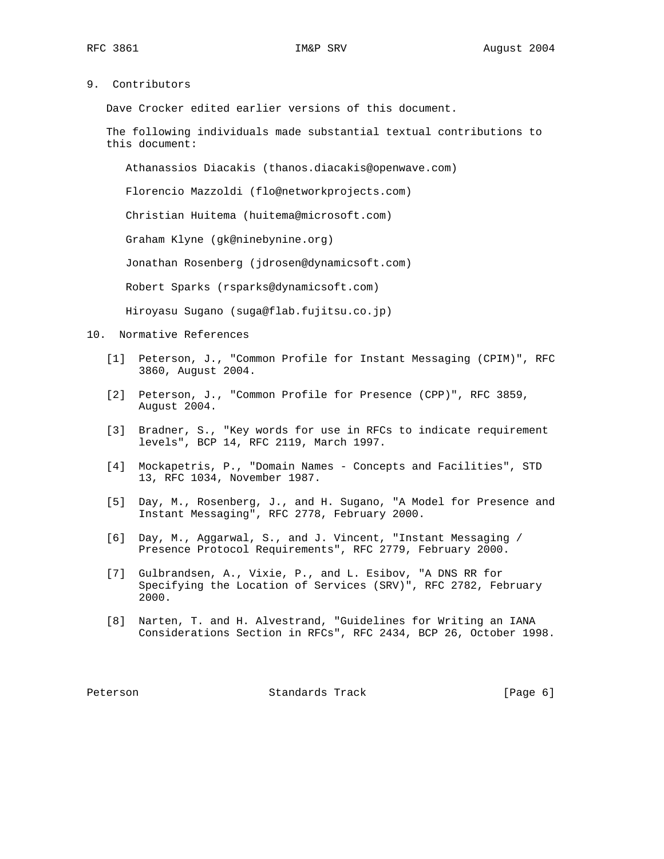9. Contributors

Dave Crocker edited earlier versions of this document.

 The following individuals made substantial textual contributions to this document:

Athanassios Diacakis (thanos.diacakis@openwave.com)

Florencio Mazzoldi (flo@networkprojects.com)

Christian Huitema (huitema@microsoft.com)

Graham Klyne (gk@ninebynine.org)

Jonathan Rosenberg (jdrosen@dynamicsoft.com)

Robert Sparks (rsparks@dynamicsoft.com)

Hiroyasu Sugano (suga@flab.fujitsu.co.jp)

- 10. Normative References
	- [1] Peterson, J., "Common Profile for Instant Messaging (CPIM)", RFC 3860, August 2004.
	- [2] Peterson, J., "Common Profile for Presence (CPP)", RFC 3859, August 2004.
	- [3] Bradner, S., "Key words for use in RFCs to indicate requirement levels", BCP 14, RFC 2119, March 1997.
	- [4] Mockapetris, P., "Domain Names Concepts and Facilities", STD 13, RFC 1034, November 1987.
	- [5] Day, M., Rosenberg, J., and H. Sugano, "A Model for Presence and Instant Messaging", RFC 2778, February 2000.
	- [6] Day, M., Aggarwal, S., and J. Vincent, "Instant Messaging / Presence Protocol Requirements", RFC 2779, February 2000.
	- [7] Gulbrandsen, A., Vixie, P., and L. Esibov, "A DNS RR for Specifying the Location of Services (SRV)", RFC 2782, February 2000.
	- [8] Narten, T. and H. Alvestrand, "Guidelines for Writing an IANA Considerations Section in RFCs", RFC 2434, BCP 26, October 1998.

Peterson Standards Track [Page 6]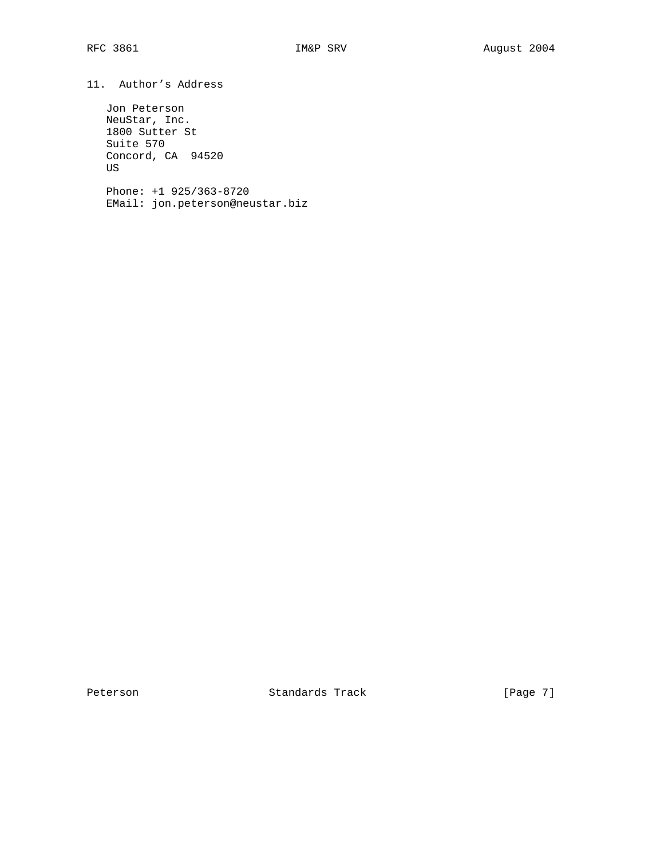11. Author's Address

 Jon Peterson NeuStar, Inc. 1800 Sutter St Suite 570 Concord, CA 94520 US

 Phone: +1 925/363-8720 EMail: jon.peterson@neustar.biz

Peterson Standards Track [Page 7]